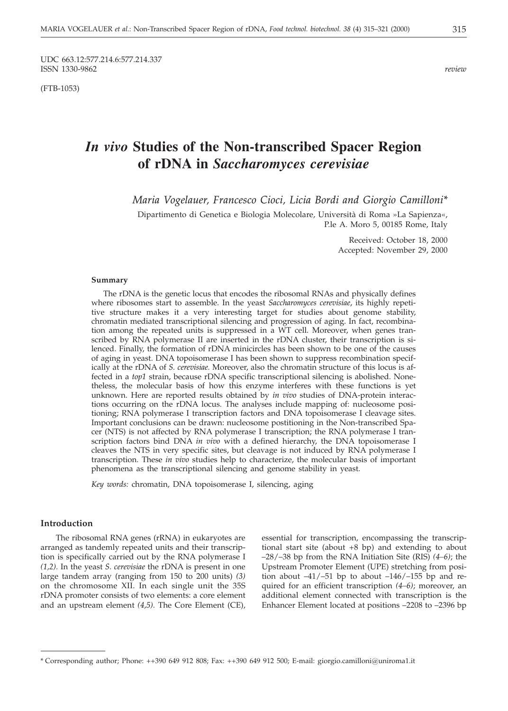UDC 663.12:577.214.6:577.214.337<br>ISSN 1330-9862 ISSN 1330-9862 *review*

(FTB-1053)

# *In vivo* **Studies of the Non-transcribed Spacer Region of rDNA in** *Saccharomyces cerevisiae*

*Maria Vogelauer, Francesco Cioci, Licia Bordi and Giorgio Camilloni\**

Dipartimento di Genetica e Biologia Molecolare, Università di Roma »La Sapienza«, P.le A. Moro 5, 00185 Rome, Italy

> Received: October 18, 2000 Accepted: November 29, 2000

#### **Summary**

The rDNA is the genetic locus that encodes the ribosomal RNAs and physically defines where ribosomes start to assemble. In the yeast *Saccharomyces cerevisiae*, its highly repetitive structure makes it a very interesting target for studies about genome stability, chromatin mediated transcriptional silencing and progression of aging. In fact, recombination among the repeated units is suppressed in a WT cell. Moreover, when genes transcribed by RNA polymerase II are inserted in the rDNA cluster, their transcription is silenced. Finally, the formation of rDNA minicircles has been shown to be one of the causes of aging in yeast. DNA topoisomerase I has been shown to suppress recombination specifically at the rDNA of *S. cerevisiae.* Moreover, also the chromatin structure of this locus is affected in a *top1* strain, because rDNA specific transcriptional silencing is abolished. Nonetheless, the molecular basis of how this enzyme interferes with these functions is yet unknown. Here are reported results obtained by *in vivo* studies of DNA-protein interactions occurring on the rDNA locus. The analyses include mapping of: nucleosome positioning; RNA polymerase I transcription factors and DNA topoisomerase I cleavage sites. Important conclusions can be drawn: nucleosome postitioning in the Non-transcribed Spacer (NTS) is not affected by RNA polymerase I transcription; the RNA polymerase I transcription factors bind DNA *in vivo* with a defined hierarchy, the DNA topoisomerase I cleaves the NTS in very specific sites, but cleavage is not induced by RNA polymerase I transcription. These *in vivo* studies help to characterize, the molecular basis of important phenomena as the transcriptional silencing and genome stability in yeast.

*Key words:* chromatin, DNA topoisomerase I, silencing, aging

### **Introduction**

The ribosomal RNA genes (rRNA) in eukaryotes are arranged as tandemly repeated units and their transcription is specifically carried out by the RNA polymerase I *(1,2).* In the yeast *S. cerevisiae* the rDNA is present in one large tandem array (ranging from 150 to 200 units) *(3)* on the chromosome XII. In each single unit the 35S rDNA promoter consists of two elements: a core element and an upstream element *(4,5).* The Core Element (CE), essential for transcription, encompassing the transcriptional start site (about +8 bp) and extending to about –28/–38 bp from the RNA Initiation Site (RIS) *(4–6)*; the Upstream Promoter Element (UPE) stretching from position about  $-41/-51$  bp to about  $-146/-155$  bp and required for an efficient transcription *(4–6)*; moreover, an additional element connected with transcription is the Enhancer Element located at positions –2208 to –2396 bp

<sup>\*</sup> Corresponding author; Phone: ++390 649 912 808; Fax: ++390 649 912 500; E-mail: giorgio.camilloni*@*uniroma1.it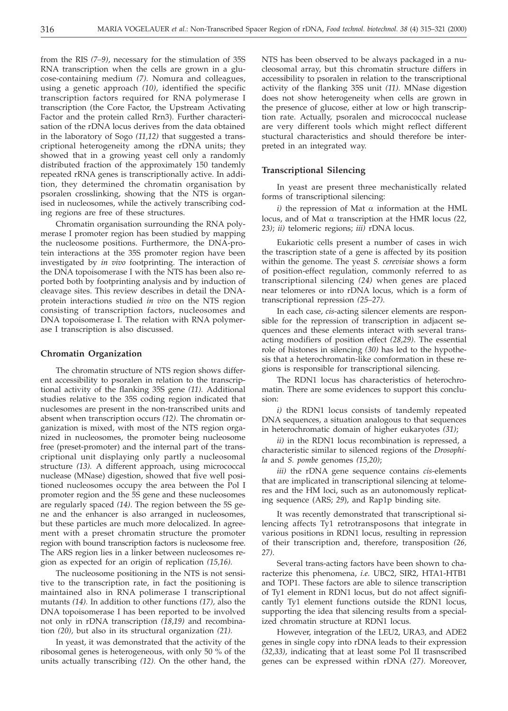from the RIS *(7–9)*, necessary for the stimulation of 35S RNA transcription when the cells are grown in a glucose-containing medium *(7).* Nomura and colleagues, using a genetic approach *(10),* identified the specific transcription factors required for RNA polymerase I transcription (the Core Factor, the Upstream Activating Factor and the protein called Rrn3). Further characterisation of the rDNA locus derives from the data obtained in the laboratory of Sogo *(11,12)* that suggested a transcriptional heterogeneity among the rDNA units; they showed that in a growing yeast cell only a randomly distributed fraction of the approximately 150 tandemly repeated rRNA genes is transcriptionally active. In addition, they determined the chromatin organisation by psoralen crosslinking, showing that the NTS is organised in nucleosomes, while the actively transcribing coding regions are free of these structures.

Chromatin organisation surrounding the RNA polymerase I promoter region has been studied by mapping the nucleosome positions. Furthermore, the DNA-protein interactions at the 35S promoter region have been investigated by *in vivo* footprinting. The interaction of the DNA topoisomerase I with the NTS has been also reported both by footprinting analysis and by induction of cleavage sites. This review describes in detail the DNAprotein interactions studied *in vivo* on the NTS region consisting of transcription factors, nucleosomes and DNA topoisomerase I. The relation with RNA polymerase I transcription is also discussed.

### **Chromatin Organization**

The chromatin structure of NTS region shows different accessibility to psoralen in relation to the transcriptional activity of the flanking 35S gene *(11).* Additional studies relative to the 35S coding region indicated that nuclesomes are present in the non-transcribed units and absent when transcription occurs *(12)*. The chromatin organization is mixed, with most of the NTS region organized in nucleosomes, the promoter being nucleosome free (preset-promoter) and the internal part of the transcriptional unit displaying only partly a nucleosomal structure *(13).* A different approach, using micrococcal nuclease (MNase) digestion, showed that five well positioned nucleosomes occupy the area between the Pol I promoter region and the 5S gene and these nucleosomes are regularly spaced *(14)*. The region between the 5S gene and the enhancer is also arranged in nucleosomes, but these particles are much more delocalized. In agreement with a preset chromatin structure the promoter region with bound transcription factors is nucleosome free. The ARS region lies in a linker between nucleosomes region as expected for an origin of replication *(15,16).*

The nucleosome positioning in the NTS is not sensitive to the transcription rate, in fact the positioning is maintained also in RNA polimerase I transcriptional mutants *(14).* In addition to other functions *(17),* also the DNA topoisomerase I has been reported to be involved not only in rDNA transcription *(18,19)* and recombination *(20),* but also in its structural organization *(21).*

In yeast, it was demonstrated that the activity of the ribosomal genes is heterogeneous, with only 50 % of the units actually transcribing *(12).* On the other hand, the

NTS has been observed to be always packaged in a nucleosomal array, but this chromatin structure differs in accessibility to psoralen in relation to the transcriptional activity of the flanking 35S unit *(11).* MNase digestion does not show heterogeneity when cells are grown in the presence of glucose, either at low or high transcription rate. Actually, psoralen and micrococcal nuclease are very different tools which might reflect different stuctural characteristics and should therefore be interpreted in an integrated way.

### **Transcriptional Silencing**

In yeast are present three mechanistically related forms of transcriptional silencing:

 $i)$  the repression of Mat  $\alpha$  information at the HML locus, and of Mat  $\alpha$  transcription at the HMR locus (22, *23)*; *ii)* telomeric regions; *iii)* rDNA locus.

Eukariotic cells present a number of cases in wich the trascription state of a gene is affected by its position within the genome. The yeast *S. cerevisiae* shows a form of position-effect regulation, commonly referred to as transcriptional silencing *(24)* when genes are placed near telomeres or into rDNA locus, which is a form of transcriptional repression *(25–27)*.

In each case, *cis*-acting silencer elements are responsible for the repression of transcription in adjacent sequences and these elements interact with several transacting modifiers of position effect *(28,29)*. The essential role of histones in silencing *(30)* has led to the hypothesis that a heterochromatin-like comformation in these regions is responsible for transcriptional silencing.

The RDN1 locus has characteristics of heterochromatin. There are some evidences to support this conclusion:

*i)* the RDN1 locus consists of tandemly repeated DNA sequences, a situation analogous to that sequences in heterochromatic domain of higher eukaryotes *(31)*;

*ii)* in the RDN1 locus recombination is repressed, a characteristic similar to silenced regions of the *Drosophila* and *S. pombe* genomes *(15,20)*;

*iii)* the rDNA gene sequence contains *cis*-elements that are implicated in transcriptional silencing at telomeres and the HM loci, such as an autonomously replicating sequence (ARS; *29*), and Rap1p binding site.

It was recently demonstrated that transcriptional silencing affects Ty1 retrotransposons that integrate in various positions in RDN1 locus, resulting in repression of their transcription and, therefore, transposition *(26, 27)*.

Several trans-acting factors have been shown to characterize this phenomena, *i.e.* UBC2, SIR2, HTA1-HTB1 and TOP1. These factors are able to silence transcription of Ty1 element in RDN1 locus, but do not affect significantly Ty1 element functions outside the RDN1 locus, supporting the idea that silencing results from a specialized chromatin structure at RDN1 locus.

However, integration of the LEU2, URA3, and ADE2 genes in single copy into rDNA leads to their expression *(32,33)*, indicating that at least some Pol II trasnscribed genes can be expressed within rDNA *(27)*. Moreover,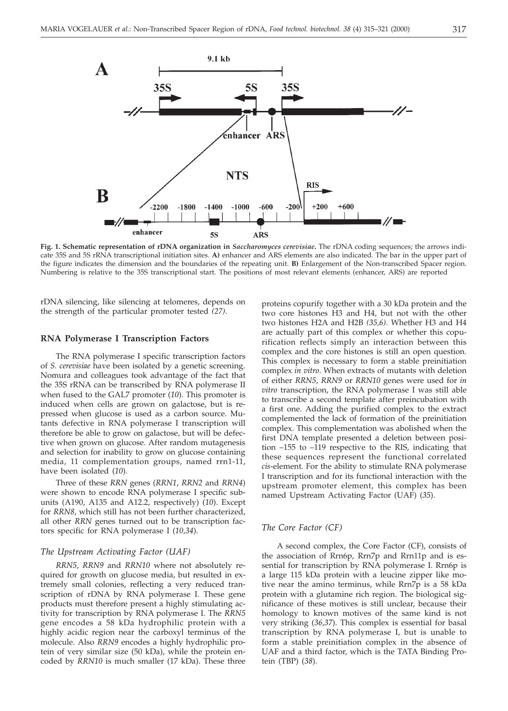

**Fig. 1. Schematic representation of rDNA organization in** *Saccharomyces cerevisiae***.** The rDNA coding sequences; the arrows indicate 35S and 5S rRNA transcriptional initiation sites. **A)** enhancer and ARS elements are also indicated. The bar in the upper part of the figure indicates the dimension and the boundaries of the repeating unit. **B)** Enlargement of the Non-transcribed Spacer region. Numbering is relative to the 35S transcriptional start. The positions of most relevant elements (enhancer, ARS) are reported

rDNA silencing, like silencing at telomeres, depends on the strength of the particular promoter tested *(27)*.

#### **RNA Polymerase I Transcription Factors**

The RNA polymerase I specific transcription factors of *S. cerevisiae* have been isolated by a genetic screening. Nomura and colleagues took advantage of the fact that the 35S rRNA can be transcribed by RNA polymerase II when fused to the GAL7 promoter (*10*). This promoter is induced when cells are grown on galactose, but is repressed when glucose is used as a carbon source. Mutants defective in RNA polymerase I transcription will therefore be able to grow on galactose, but will be defective when grown on glucose. After random mutagenesis and selection for inability to grow on glucose containing media, 11 complementation groups, named rrn1-11, have been isolated (*10*).

Three of these *RRN* genes (*RRN1*, *RRN2* and *RRN4*) were shown to encode RNA polymerase I specific subunits (A190, A135 and A12.2, respectively) (*10*). Except for *RRN8*, which still has not been further characterized, all other *RRN* genes turned out to be transcription factors specific for RNA polymerase I (*10,34*).

### *The Upstream Activating Factor (UAF)*

*RRN5*, *RRN9* and *RRN10* where not absolutely required for growth on glucose media, but resulted in extremely small colonies, reflecting a very reduced transcription of rDNA by RNA polymerase I. These gene products must therefore present a highly stimulating activity for transcription by RNA polymerase I. The *RRN5* gene encodes a 58 kDa hydrophilic protein with a highly acidic region near the carboxyl terminus of the molecule. Also *RRN9* encodes a highly hydrophilic protein of very similar size (50 kDa), while the protein encoded by *RRN10* is much smaller (17 kDa). These three

proteins copurify together with a 30 kDa protein and the two core histones H3 and H4, but not with the other two histones H2A and H2B *(35,6)*. Whether H3 and H4 are actually part of this complex or whether this copurification reflects simply an interaction between this complex and the core histones is still an open question. This complex is necessary to form a stable preinitiation complex *in vitro*. When extracts of mutants with deletion of either *RRN5*, *RRN9* or *RRN10* genes were used for *in vitro* transcription, the RNA polymerase I was still able to transcribe a second template after preincubation with a first one. Adding the purified complex to the extract complemented the lack of formation of the preinitiation complex. This complementation was abolished when the first DNA template presented a deletion between position –155 to –119 respective to the RIS, indicating that these sequences represent the functional correlated *cis*-element. For the ability to stimulate RNA polymerase I transcription and for its functional interaction with the upstream promoter element, this complex has been named Upstream Activating Factor (UAF) (*35*).

#### *The Core Factor (CF)*

A second complex, the Core Factor (CF), consists of the association of Rrn6p, Rrn7p and Rrn11p and is essential for transcription by RNA polymerase I. Rrn6p is a large 115 kDa protein with a leucine zipper like motive near the amino terminus, while Rrn7p is a 58 kDa protein with a glutamine rich region. The biological significance of these motives is still unclear, because their homology to known motives of the same kind is not very striking (*36,37*). This complex is essential for basal transcription by RNA polymerase I, but is unable to form a stable preinitiation complex in the absence of UAF and a third factor, which is the TATA Binding Protein (TBP) (*38*).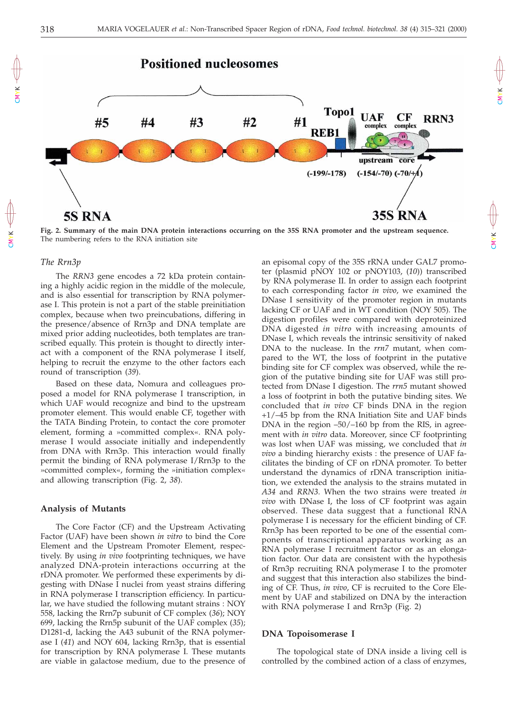

**Fig. 2. Summary of the main DNA protein interactions occurring on the 35S RNA promoter and the upstream sequence.**

CMYK

CMYK

### *The Rrn3p*

CMYK

CMYK

The *RRN3* gene encodes a 72 kDa protein containing a highly acidic region in the middle of the molecule, and is also essential for transcription by RNA polymerase I. This protein is not a part of the stable preinitiation complex, because when two preincubations, differing in the presence/absence of Rrn3p and DNA template are mixed prior adding nucleotides, both templates are transcribed equally. This protein is thought to directly interact with a component of the RNA polymerase I itself, helping to recruit the enzyme to the other factors each round of transcription (*39*).

The numbering refers to the RNA initiation site

Based on these data, Nomura and colleagues proposed a model for RNA polymerase I transcription, in which UAF would recognize and bind to the upstream promoter element. This would enable CF, together with the TATA Binding Protein, to contact the core promoter element, forming a »committed complex«. RNA polymerase I would associate initially and independently from DNA with Rrn3p. This interaction would finally permit the binding of RNA polymerase I/Rrn3p to the »committed complex«, forming the »initiation complex« and allowing transcription (Fig. 2, *38*).

### **Analysis of Mutants**

The Core Factor (CF) and the Upstream Activating Factor (UAF) have been shown *in vitro* to bind the Core Element and the Upstream Promoter Element, respectively. By using *in vivo* footprinting techniques, we have analyzed DNA-protein interactions occurring at the rDNA promoter. We performed these experiments by digesting with DNase I nuclei from yeast strains differing in RNA polymerase I transcription efficiency. In particular, we have studied the following mutant strains : NOY 558, lacking the Rrn7p subunit of CF complex (*36*); NOY 699, lacking the Rrn5p subunit of the UAF complex (*35*); D1281-d, lacking the A43 subunit of the RNA polymerase I (*41*) and NOY 604, lacking Rrn3p, that is essential for transcription by RNA polymerase I. These mutants are viable in galactose medium, due to the presence of an episomal copy of the 35S rRNA under GAL7 promoter (plasmid pNOY 102 or pNOY103, (*10*)) transcribed by RNA polymerase II. In order to assign each footprint to each corresponding factor *in vivo*, we examined the DNase I sensitivity of the promoter region in mutants lacking CF or UAF and in WT condition (NOY 505). The digestion profiles were compared with deproteinized DNA digested *in vitro* with increasing amounts of DNase I, which reveals the intrinsic sensitivity of naked DNA to the nuclease. In the *rrn7* mutant, when compared to the WT, the loss of footprint in the putative binding site for CF complex was observed, while the region of the putative binding site for UAF was still protected from DNase I digestion. The *rrn5* mutant showed a loss of footprint in both the putative binding sites. We concluded that *in vivo* CF binds DNA in the region +1/–45 bp from the RNA Initiation Site and UAF binds DNA in the region –50/–160 bp from the RIS, in agreement with *in vitro* data. Moreover, since CF footprinting was lost when UAF was missing, we concluded that *in vivo* a binding hierarchy exists : the presence of UAF facilitates the binding of CF on rDNA promoter. To better understand the dynamics of rDNA transcription initiation, we extended the analysis to the strains mutated in *A34* and *RRN3*. When the two strains were treated *in vivo* with DNase I, the loss of CF footprint was again observed. These data suggest that a functional RNA polymerase I is necessary for the efficient binding of CF. Rrn3p has been reported to be one of the essential components of transcriptional apparatus working as an RNA polymerase I recruitment factor or as an elongation factor. Our data are consistent with the hypothesis of Rrn3p recruiting RNA polymerase I to the promoter and suggest that this interaction also stabilizes the binding of CF. Thus, *in vivo*, CF is recruited to the Core Element by UAF and stabilized on DNA by the interaction with RNA polymerase I and Rrn3p (Fig. 2)

### **DNA Topoisomerase I**

The topological state of DNA inside a living cell is controlled by the combined action of a class of enzymes,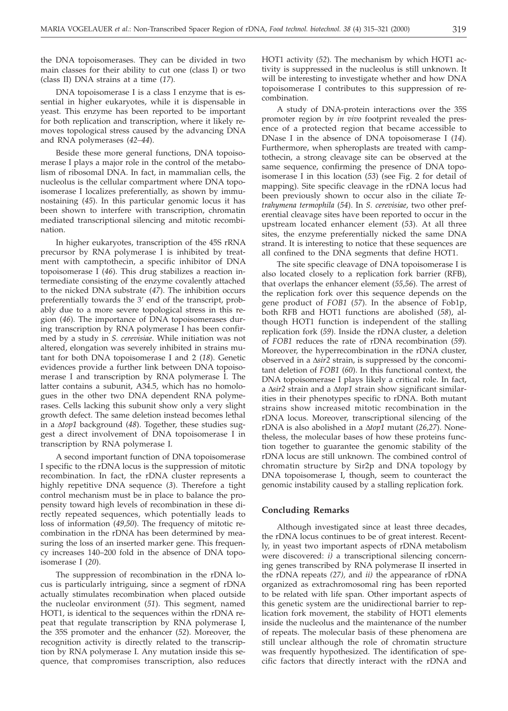the DNA topoisomerases. They can be divided in two main classes for their ability to cut one (class I) or two (class II) DNA strains at a time (*17*).

DNA topoisomerase I is a class I enzyme that is essential in higher eukaryotes, while it is dispensable in yeast. This enzyme has been reported to be important for both replication and transcription, where it likely removes topological stress caused by the advancing DNA and RNA polymerases (*42–44*).

Beside these more general functions, DNA topoisomerase I plays a major role in the control of the metabolism of ribosomal DNA. In fact, in mammalian cells, the nucleolus is the cellular compartment where DNA topoisomerase I localizes preferentially, as shown by immunostaining (*45*). In this particular genomic locus it has been shown to interfere with transcription, chromatin mediated transcriptional silencing and mitotic recombination.

In higher eukaryotes, transcription of the 45S rRNA precursor by RNA polymerase I is inhibited by treatment with camptothecin, a specific inhibitor of DNA topoisomerase I (*46*). This drug stabilizes a reaction intermediate consisting of the enzyme covalently attached to the nicked DNA substrate (*47*). The inhibition occurs preferentially towards the 3' end of the transcript, probably due to a more severe topological stress in this region (*46*). The importance of DNA topoisomerases during transcription by RNA polymerase I has been confirmed by a study in *S. cerevisiae*. While initiation was not altered, elongation was severely inhibited in strains mutant for both DNA topoisomerase I and 2 (*18*). Genetic evidences provide a further link between DNA topoisomerase I and transcription by RNA polymerase I. The latter contains a subunit, A34.5, which has no homologues in the other two DNA dependent RNA polymerases. Cells lacking this subunit show only a very slight growth defect. The same deletion instead becomes lethal in a  $\Delta$ *top1* background (48). Together, these studies suggest a direct involvement of DNA topoisomerase I in transcription by RNA polymerase I.

A second important function of DNA topoisomerase I specific to the rDNA locus is the suppression of mitotic recombination. In fact, the rDNA cluster represents a highly repetitive DNA sequence (*3*). Therefore a tight control mechanism must be in place to balance the propensity toward high levels of recombination in these directly repeated sequences, which potentially leads to loss of information (*49,50*). The frequency of mitotic recombination in the rDNA has been determined by measuring the loss of an inserted marker gene. This frequency increases 140–200 fold in the absence of DNA topoisomerase I (*20*).

The suppression of recombination in the rDNA locus is particularly intriguing, since a segment of rDNA actually stimulates recombination when placed outside the nucleolar environment (*51*). This segment, named HOT1, is identical to the sequences within the rDNA repeat that regulate transcription by RNA polymerase I, the 35S promoter and the enhancer (*52*). Moreover, the recognition activity is directly related to the transcription by RNA polymerase I. Any mutation inside this sequence, that compromises transcription, also reduces HOT1 activity (*52*). The mechanism by which HOT1 activity is suppressed in the nucleolus is still unknown. It will be interesting to investigate whether and how DNA topoisomerase I contributes to this suppression of recombination.

A study of DNA-protein interactions over the 35S promoter region by *in vivo* footprint revealed the presence of a protected region that became accessible to DNase I in the absence of DNA topoisomerase I (*14*). Furthermore, when spheroplasts are treated with camptothecin, a strong cleavage site can be observed at the same sequence, confirming the presence of DNA topoisomerase I in this location (*53*) (see Fig. 2 for detail of mapping). Site specific cleavage in the rDNA locus had been previously shown to occur also in the ciliate *Tetrahymena termophila* (*54*). In *S. cerevisiae*, two other preferential cleavage sites have been reported to occur in the upstream located enhancer element (*53*). At all three sites, the enzyme preferentially nicked the same DNA strand. It is interesting to notice that these sequences are all confined to the DNA segments that define HOT1.

The site specific cleavage of DNA topoisomerase I is also located closely to a replication fork barrier (RFB), that overlaps the enhancer element (*55,56*). The arrest of the replication fork over this sequence depends on the gene product of *FOB1* (*57*). In the absence of Fob1p, both RFB and HOT1 functions are abolished (*58*), although HOT1 function is independent of the stalling replication fork (*59*). Inside the rDNA cluster, a deletion of *FOB1* reduces the rate of rDNA recombination (*59*). Moreover, the hyperrecombination in the rDNA cluster, observed in a  $\Delta s$ ir<sup>2</sup> strain, is suppressed by the concomitant deletion of *FOB1* (*60*). In this functional context, the DNA topoisomerase I plays likely a critical role. In fact, a  $\Delta$ sir2 strain and a  $\Delta$ top1 strain show significant similarities in their phenotypes specific to rDNA. Both mutant strains show increased mitotic recombination in the rDNA locus. Moreover, transcriptional silencing of the rDNA is also abolished in a  $\Delta top1$  mutant (26,27). Nonetheless, the molecular bases of how these proteins function together to guarantee the genomic stability of the rDNA locus are still unknown. The combined control of chromatin structure by Sir2p and DNA topology by DNA topoisomerase I, though, seem to counteract the genomic instability caused by a stalling replication fork.

#### **Concluding Remarks**

Although investigated since at least three decades, the rDNA locus continues to be of great interest. Recently, in yeast two important aspects of rDNA metabolism were discovered: *i)* a transcriptional silencing concerning genes transcribed by RNA polymerase II inserted in the rDNA repeats *(27),* and *ii)* the appearance of rDNA organized as extrachromosomal ring has been reported to be related with life span. Other important aspects of this genetic system are the unidirectional barrier to replication fork movement, the stability of HOT1 elements inside the nucleolus and the maintenance of the number of repeats. The molecular basis of these phenomena are still unclear although the role of chromatin structure was frequently hypothesized. The identification of specific factors that directly interact with the rDNA and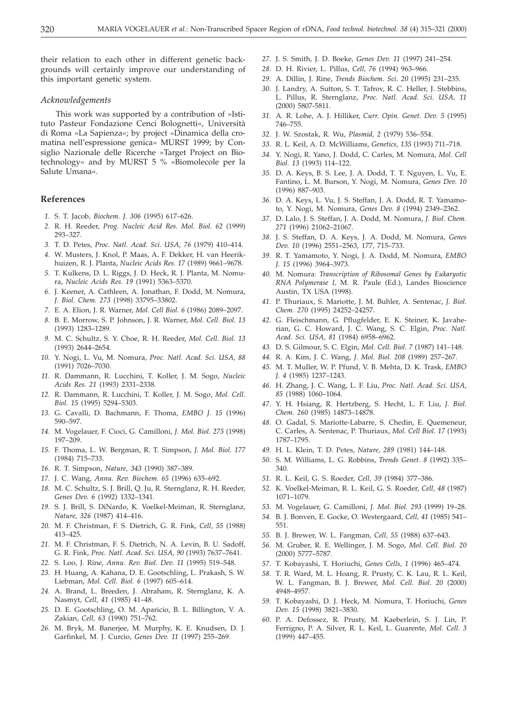their relation to each other in different genetic backgrounds will certainly improve our understanding of this important genetic system.

#### *Acknowledgements*

This work was supported by a contribution of »Istituto Pasteur Fondazione Cenci Bolognetti«, Università di Roma »La Sapienza«; by project »Dinamica della cromatina nell'espressione genica» MURST 1999; by Consiglio Nazionale delle Ricerche »Target Project on Biotechnology« and by MURST 5 % »Biomolecole per la Salute Umana«.

### **References**

- *1.* S. T. Jacob, *Biochem. J. 306* (1995) 617–626.
- *2.* R. H. Reeder, *Prog. Nucleic Acid Res. Mol. Biol. 62* (1999) 293–327.
- *3.* T. D. Petes, *Proc. Natl. Acad. Sci. USA, 76* (1979) 410–414.
- *4.* W. Musters, J. Knol, P. Maas, A. F. Dekker, H. van Heerikhuizen, R. J. Planta, *Nucleic Acids Res. 17* (1989) 9661–9678.
- *5.* T. Kulkens, D. L. Riggs, J. D. Heck, R. J. Planta, M. Nomura, *Nucleic Acids Res. 19* (1991) 5363–5370.
- *6.* J. Keener, A. Cathleen, A. Jonathan, F. Dodd, M. Nomura, *J. Biol. Chem. 273* (1998) 33795–33802.
- *7.* E. A. Elion, J. R. Warner, *Mol. Cell Biol. 6* (1986) 2089–2097.
- *8.* B. E. Morrow, S. P. Johnson, J. R. Warner, *Mol. Cell. Biol. 13* (1993) 1283–1289.
- *9.* M. C. Schultz, S. Y. Choe, R. H. Reeder, *Mol. Cell. Biol. 13* (1993) 2644–2654.
- *10.* Y. Nogi, L. Vu, M. Nomura, *Proc. Natl. Acad. Sci. USA, 88* (1991) 7026–7030.
- *11.* R. Dammann, R. Lucchini, T. Koller, J. M. Sogo, *Nucleic Acids Res. 21* (1993) 2331–2338.
- *12.* R. Dammann, R. Lucchini, T. Koller, J. M. Sogo, *Mol. Cell. Biol. 15* (1995) 5294–5303.
- *13.* G. Cavalli, D. Bachmann, F. Thoma, *EMBO J. 15* (1996) 590–597.
- *14.* M. Vogelauer, F. Cioci, G. Camilloni, *J. Mol. Biol. 275* (1998) 197–209.
- *15.* F. Thoma, L. W. Bergman, R. T. Simpson, *J. Mol. Biol. 177* (1984) 715–733.
- *16.* R. T. Simpson, *Nature, 343* (1990) 387–389.
- *17.* J. C. Wang, *Annu. Rev. Biochem. 65* (1996) 635–692.
- *18.* M. C. Schultz, S. J. Brill, Q. Ju, R. Sternglanz, R. H. Reeder, *Genes Dev. 6* (1992) 1332–1341.
- *19.* S. J. Brill, S. DiNardo, K. Voelkel-Meiman, R. Sternglanz, *Nature, 326* (1987) 414–416.
- *20.* M. F. Christman, F. S. Dietrich, G. R. Fink, *Cell, 55* (1988) 413–425.
- *21.* M. F. Christman, F. S. Dietrich, N. A. Levin, B. U. Sadoff, G. R. Fink, *Proc. Natl. Acad. Sci. USA, 90* (1993) 7637–7641.
- *22.* S. Loo, J. Rine, *Annu. Rev. Biol. Dev. 11* (1995) 519–548.
- *23.* H. Huang, A. Kahana, D. E. Gootschling, L. Prakash, S. W. Liebman, *Mol. Cell. Biol. 6* (1997) 605–614.
- *24.* A. Brand, L. Breeden, J. Abraham, R. Sternglanz, K. A. Nasmyt, *Cell, 41* (1985) 41–48.
- *25.* D. E. Gootschling, O. M. Aparicio, B. L. Billington, V. A. Zakian, *Cell, 63* (1990) 751–762.
- *26.* M. Bryk, M. Banerjee, M. Murphy, K. E. Knudsen, D. J. Garfinkel, M. J. Curcio, *Genes Dev. 11* (1997) 255–269.
- *27.* J. S. Smith, J. D. Boeke, *Genes Dev. 11* (1997) 241–254.
- *28.* D. H. Rivier, L. Pillus, *Cell, 76* (1994) 963–966.
- *29.* A. Dillin, J. Rine, *Trends Biochem. Sci. 20* (1995) 231–235.
- *30.* J. Landry, A. Sutton, S. T. Tafrov, R. C. Heller, J. Stebbins, L. Pillus, R. Sternglanz, *Proc. Natl. Acad. Sci. USA, 11* (2000) 5807-5811.
- *31.* A. R. Lohe, A. J. Hilliker, *Curr. Opin. Genet. Dev. 5* (1995) 746–755.
- *32.* J. W. Szostak, R. Wu, *Plasmid, 2* (1979) 536–554.
- *33.* R. L. Keil, A. D. McWilliams, *Genetics, 135* (1993) 711–718.
- *34.* Y. Nogi, R. Yano, J. Dodd, C. Carles, M. Nomura, *Mol. Cell Biol. 13* (1993) 114–122.
- *35.* D. A. Keys, B. S. Lee, J. A. Dodd, T. T. Nguyen, L. Vu, E. Fantino, L. M. Burson, Y. Nogi, M. Nomura, *Genes Dev. 10* (1996) 887–903.
- *36.* D. A. Keys, L. Vu, J. S. Steffan, J. A. Dodd, R. T. Yamamoto, Y. Nogi, M. Nomura, *Genes Dev. 8* (1994) 2349–2362.
- *37.* D. Lalo, J. S. Steffan, J. A. Dodd, M. Nomura, *J. Biol. Chem. 271* (1996) 21062–21067.
- *38.* J. S. Steffan, D. A. Keys, J. A. Dodd, M. Nomura, *Genes Dev. 10* (1996) 2551–2563, 177, 715–733.
- *39.* R. T. Yamamoto, Y. Nogi, J. A. Dodd, M. Nomura, *EMBO J. 15* (1996) 3964–3973.
- *40.* M. Nomura: *Transcription of Ribosomal Genes by Eukaryotic RNA Polymerase I,* M. R. Paule (Ed.), Landes Bioscience Austin, TX USA (1998).
- *41.* P. Thuriaux, S. Mariotte, J. M. Buhler, A. Sentenac, *J. Biol. Chem. 270* (1995) 24252–24257.
- *42.* G. Fleischmann, G. Pflugfelder, E. K. Steiner, K. Javaherian, G. C. Howard, J. C. Wang, S. C. Elgin, *Proc. Natl. Acad. Sci. USA, 81* (1984) 6958–6962.
- *43.* D. S. Gilmour, S. C. Elgin, *Mol. Cell. Biol. 7* (1987) 141–148.
- *44.* R. A. Kim, J. C. Wang, *J. Mol. Biol. 208* (1989) 257–267.
- *45.* M. T. Muller, W. P. Pfund, V. B. Mehta, D. K. Trask, *EMBO J. 4* (1985) 1237–1243.
- *46.* H. Zhang, J. C. Wang, L. F. Liu, *Proc. Natl. Acad. Sci. USA, 85* (1988) 1060–1064.
- *47.* Y. H. Hsiang, R. Hertzberg, S. Hecht, L. F. Liu, *J. Biol. Chem. 260* (1985) 14873–14878.
- *48.* O. Gadal, S. Mariotte-Labarre, S. Chedin, E. Quemeneur, C. Carles, A. Sentenac, P. Thuriaux, *Mol. Cell Biol. 17* (1993) 1787–1795.
- *49.* H. L. Klein, T. D. Petes, *Nature, 289* (1981) 144–148.
- *50.* S. M. Williams, L. G. Robbins, *Trends Genet. 8* (1992) 335– 340.
- *51.* R. L. Keil, G. S. Roeder, *Cell, 39* (1984) 377–386.
- *52.* K. Voelkel-Meiman, R. L. Keil, G. S. Roeder, *Cell, 48* (1987) 1071–1079.
- *53.* M. Vogelauer, G. Camilloni, *J. Mol. Biol. 293* (1999) 19–28.
- *54.* B. J. Bonven, E. Gocke, O. Westergaard, *Cell, 41* (1985) 541– 551.
- *55.* B. J. Brewer, W. L. Fangman, *Cell, 55* (1988) 637–643.
- *56.* M. Gruber, R. E. Wellinger, J. M. Sogo, *Mol. Cell. Biol. 20* (2000) 5777–5787.
- *57.* T. Kobayashi, T. Horiuchi, *Genes Cells, 1* (1996) 465–474.
- *58.* T. R. Ward, M. L. Hoang, R. Prusty, C. K. Lau, R. L. Keil, W. L. Fangman, B. J. Brewer, *Mol. Cell. Biol. 20* (2000) 4948–4957.
- *59.* T. Kobayashi, D. J. Heck, M. Nomura, T. Horiuchi, *Genes Dev. 15* (1998) 3821–3830.
- *60.* P. A. Defossez, R. Prusty, M. Kaeberlein, S. J. Lin, P. Ferrigno, P. A. Silver, R. L. Keil, L. Guarente, *Mol. Cell. 3* (1999) 447–455.